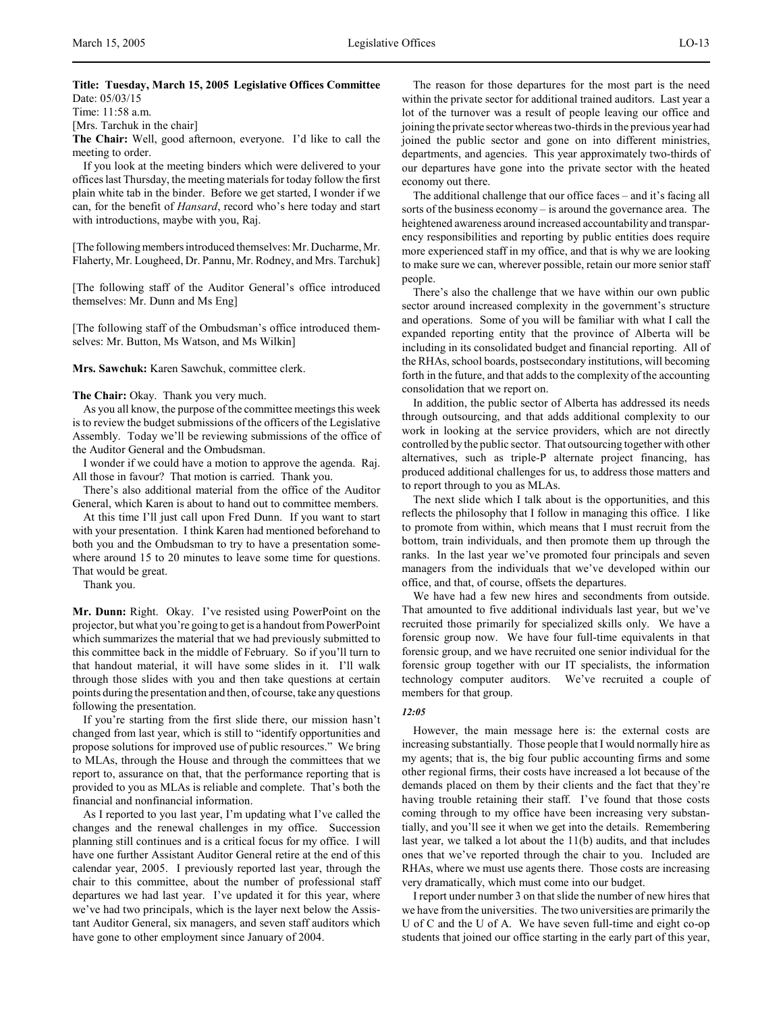Time: 11:58 a.m.

[Mrs. Tarchuk in the chair]

**The Chair:** Well, good afternoon, everyone. I'd like to call the meeting to order.

If you look at the meeting binders which were delivered to your offices last Thursday, the meeting materials for today follow the first plain white tab in the binder. Before we get started, I wonder if we can, for the benefit of *Hansard*, record who's here today and start with introductions, maybe with you, Raj.

[The following members introduced themselves: Mr. Ducharme, Mr. Flaherty, Mr. Lougheed, Dr. Pannu, Mr. Rodney, and Mrs. Tarchuk]

[The following staff of the Auditor General's office introduced themselves: Mr. Dunn and Ms Eng]

[The following staff of the Ombudsman's office introduced themselves: Mr. Button, Ms Watson, and Ms Wilkin]

**Mrs. Sawchuk:** Karen Sawchuk, committee clerk.

**The Chair:** Okay. Thank you very much.

As you all know, the purpose of the committee meetings this week is to review the budget submissions of the officers of the Legislative Assembly. Today we'll be reviewing submissions of the office of the Auditor General and the Ombudsman.

I wonder if we could have a motion to approve the agenda. Raj. All those in favour? That motion is carried. Thank you.

There's also additional material from the office of the Auditor General, which Karen is about to hand out to committee members.

At this time I'll just call upon Fred Dunn. If you want to start with your presentation. I think Karen had mentioned beforehand to both you and the Ombudsman to try to have a presentation somewhere around 15 to 20 minutes to leave some time for questions. That would be great.

Thank you.

**Mr. Dunn:** Right. Okay. I've resisted using PowerPoint on the projector, but what you're going to get is a handout from PowerPoint which summarizes the material that we had previously submitted to this committee back in the middle of February. So if you'll turn to that handout material, it will have some slides in it. I'll walk through those slides with you and then take questions at certain points during the presentation and then, of course, take any questions following the presentation.

If you're starting from the first slide there, our mission hasn't changed from last year, which is still to "identify opportunities and propose solutions for improved use of public resources." We bring to MLAs, through the House and through the committees that we report to, assurance on that, that the performance reporting that is provided to you as MLAs is reliable and complete. That's both the financial and nonfinancial information.

As I reported to you last year, I'm updating what I've called the changes and the renewal challenges in my office. Succession planning still continues and is a critical focus for my office. I will have one further Assistant Auditor General retire at the end of this calendar year, 2005. I previously reported last year, through the chair to this committee, about the number of professional staff departures we had last year. I've updated it for this year, where we've had two principals, which is the layer next below the Assistant Auditor General, six managers, and seven staff auditors which have gone to other employment since January of 2004.

The reason for those departures for the most part is the need within the private sector for additional trained auditors. Last year a lot of the turnover was a result of people leaving our office and joining the private sector whereas two-thirds in the previous year had joined the public sector and gone on into different ministries, departments, and agencies. This year approximately two-thirds of our departures have gone into the private sector with the heated economy out there.

The additional challenge that our office faces – and it's facing all sorts of the business economy – is around the governance area. The heightened awareness around increased accountability and transparency responsibilities and reporting by public entities does require more experienced staff in my office, and that is why we are looking to make sure we can, wherever possible, retain our more senior staff people.

There's also the challenge that we have within our own public sector around increased complexity in the government's structure and operations. Some of you will be familiar with what I call the expanded reporting entity that the province of Alberta will be including in its consolidated budget and financial reporting. All of the RHAs, school boards, postsecondary institutions, will becoming forth in the future, and that adds to the complexity of the accounting consolidation that we report on.

In addition, the public sector of Alberta has addressed its needs through outsourcing, and that adds additional complexity to our work in looking at the service providers, which are not directly controlled by the public sector. That outsourcing together with other alternatives, such as triple-P alternate project financing, has produced additional challenges for us, to address those matters and to report through to you as MLAs.

The next slide which I talk about is the opportunities, and this reflects the philosophy that I follow in managing this office. I like to promote from within, which means that I must recruit from the bottom, train individuals, and then promote them up through the ranks. In the last year we've promoted four principals and seven managers from the individuals that we've developed within our office, and that, of course, offsets the departures.

We have had a few new hires and secondments from outside. That amounted to five additional individuals last year, but we've recruited those primarily for specialized skills only. We have a forensic group now. We have four full-time equivalents in that forensic group, and we have recruited one senior individual for the forensic group together with our IT specialists, the information technology computer auditors. We've recruited a couple of members for that group.

#### *12:05*

However, the main message here is: the external costs are increasing substantially. Those people that I would normally hire as my agents; that is, the big four public accounting firms and some other regional firms, their costs have increased a lot because of the demands placed on them by their clients and the fact that they're having trouble retaining their staff. I've found that those costs coming through to my office have been increasing very substantially, and you'll see it when we get into the details. Remembering last year, we talked a lot about the 11(b) audits, and that includes ones that we've reported through the chair to you. Included are RHAs, where we must use agents there. Those costs are increasing very dramatically, which must come into our budget.

I report under number 3 on that slide the number of new hires that we have from the universities. The two universities are primarily the U of C and the U of A. We have seven full-time and eight co-op students that joined our office starting in the early part of this year,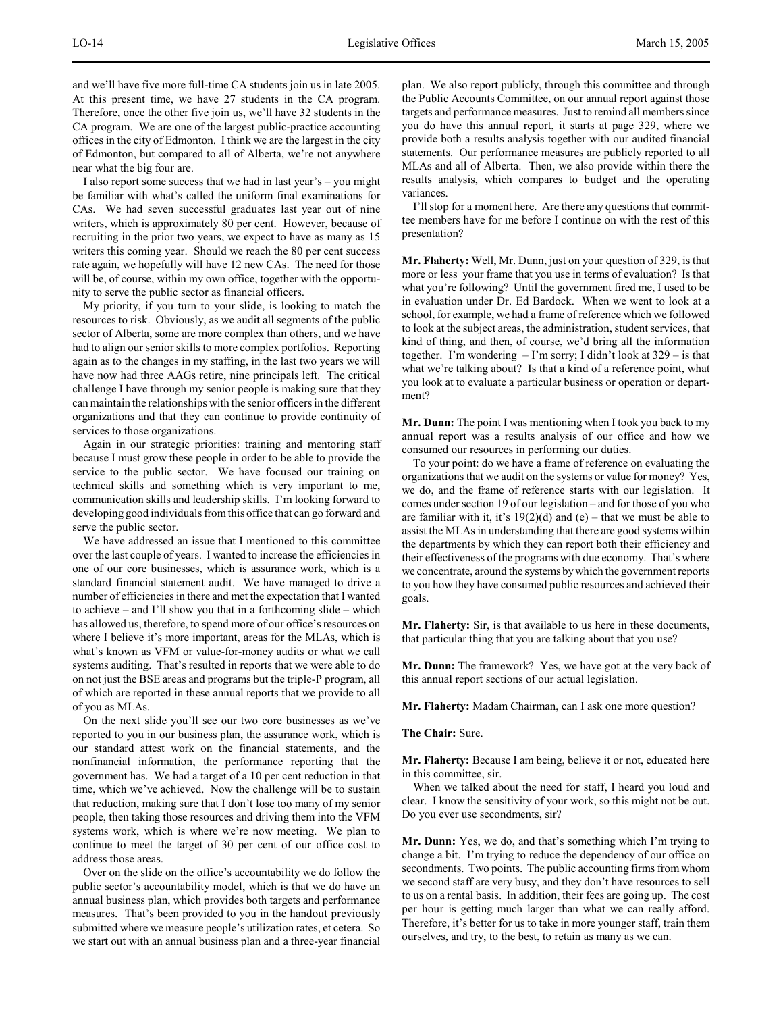and we'll have five more full-time CA students join us in late 2005. At this present time, we have 27 students in the CA program. Therefore, once the other five join us, we'll have 32 students in the CA program. We are one of the largest public-practice accounting offices in the city of Edmonton. I think we are the largest in the city of Edmonton, but compared to all of Alberta, we're not anywhere near what the big four are.

I also report some success that we had in last year's – you might be familiar with what's called the uniform final examinations for CAs. We had seven successful graduates last year out of nine writers, which is approximately 80 per cent. However, because of recruiting in the prior two years, we expect to have as many as 15 writers this coming year. Should we reach the 80 per cent success rate again, we hopefully will have 12 new CAs. The need for those will be, of course, within my own office, together with the opportunity to serve the public sector as financial officers.

My priority, if you turn to your slide, is looking to match the resources to risk. Obviously, as we audit all segments of the public sector of Alberta, some are more complex than others, and we have had to align our senior skills to more complex portfolios. Reporting again as to the changes in my staffing, in the last two years we will have now had three AAGs retire, nine principals left. The critical challenge I have through my senior people is making sure that they can maintain the relationships with the senior officers in the different organizations and that they can continue to provide continuity of services to those organizations.

Again in our strategic priorities: training and mentoring staff because I must grow these people in order to be able to provide the service to the public sector. We have focused our training on technical skills and something which is very important to me, communication skills and leadership skills. I'm looking forward to developing good individuals from this office that can go forward and serve the public sector.

We have addressed an issue that I mentioned to this committee over the last couple of years. I wanted to increase the efficiencies in one of our core businesses, which is assurance work, which is a standard financial statement audit. We have managed to drive a number of efficiencies in there and met the expectation that I wanted to achieve – and I'll show you that in a forthcoming slide – which has allowed us, therefore, to spend more of our office's resources on where I believe it's more important, areas for the MLAs, which is what's known as VFM or value-for-money audits or what we call systems auditing. That's resulted in reports that we were able to do on not just the BSE areas and programs but the triple-P program, all of which are reported in these annual reports that we provide to all of you as MLAs.

On the next slide you'll see our two core businesses as we've reported to you in our business plan, the assurance work, which is our standard attest work on the financial statements, and the nonfinancial information, the performance reporting that the government has. We had a target of a 10 per cent reduction in that time, which we've achieved. Now the challenge will be to sustain that reduction, making sure that I don't lose too many of my senior people, then taking those resources and driving them into the VFM systems work, which is where we're now meeting. We plan to continue to meet the target of 30 per cent of our office cost to address those areas.

Over on the slide on the office's accountability we do follow the public sector's accountability model, which is that we do have an annual business plan, which provides both targets and performance measures. That's been provided to you in the handout previously submitted where we measure people's utilization rates, et cetera. So we start out with an annual business plan and a three-year financial

plan. We also report publicly, through this committee and through the Public Accounts Committee, on our annual report against those targets and performance measures. Just to remind all members since you do have this annual report, it starts at page 329, where we provide both a results analysis together with our audited financial statements. Our performance measures are publicly reported to all MLAs and all of Alberta. Then, we also provide within there the results analysis, which compares to budget and the operating variances.

I'll stop for a moment here. Are there any questions that committee members have for me before I continue on with the rest of this presentation?

**Mr. Flaherty:** Well, Mr. Dunn, just on your question of 329, is that more or less your frame that you use in terms of evaluation? Is that what you're following? Until the government fired me, I used to be in evaluation under Dr. Ed Bardock. When we went to look at a school, for example, we had a frame of reference which we followed to look at the subject areas, the administration, student services, that kind of thing, and then, of course, we'd bring all the information together. I'm wondering  $-I$ 'm sorry; I didn't look at  $329 -$  is that what we're talking about? Is that a kind of a reference point, what you look at to evaluate a particular business or operation or department?

**Mr. Dunn:** The point I was mentioning when I took you back to my annual report was a results analysis of our office and how we consumed our resources in performing our duties.

To your point: do we have a frame of reference on evaluating the organizations that we audit on the systems or value for money? Yes, we do, and the frame of reference starts with our legislation. It comes under section 19 of our legislation – and for those of you who are familiar with it, it's  $19(2)(d)$  and  $(e)$  – that we must be able to assist the MLAs in understanding that there are good systems within the departments by which they can report both their efficiency and their effectiveness of the programs with due economy. That's where we concentrate, around the systems by which the government reports to you how they have consumed public resources and achieved their goals.

**Mr. Flaherty:** Sir, is that available to us here in these documents, that particular thing that you are talking about that you use?

**Mr. Dunn:** The framework? Yes, we have got at the very back of this annual report sections of our actual legislation.

**Mr. Flaherty:** Madam Chairman, can I ask one more question?

**The Chair:** Sure.

**Mr. Flaherty:** Because I am being, believe it or not, educated here in this committee, sir.

When we talked about the need for staff, I heard you loud and clear. I know the sensitivity of your work, so this might not be out. Do you ever use secondments, sir?

**Mr. Dunn:** Yes, we do, and that's something which I'm trying to change a bit. I'm trying to reduce the dependency of our office on secondments. Two points. The public accounting firms from whom we second staff are very busy, and they don't have resources to sell to us on a rental basis. In addition, their fees are going up. The cost per hour is getting much larger than what we can really afford. Therefore, it's better for us to take in more younger staff, train them ourselves, and try, to the best, to retain as many as we can.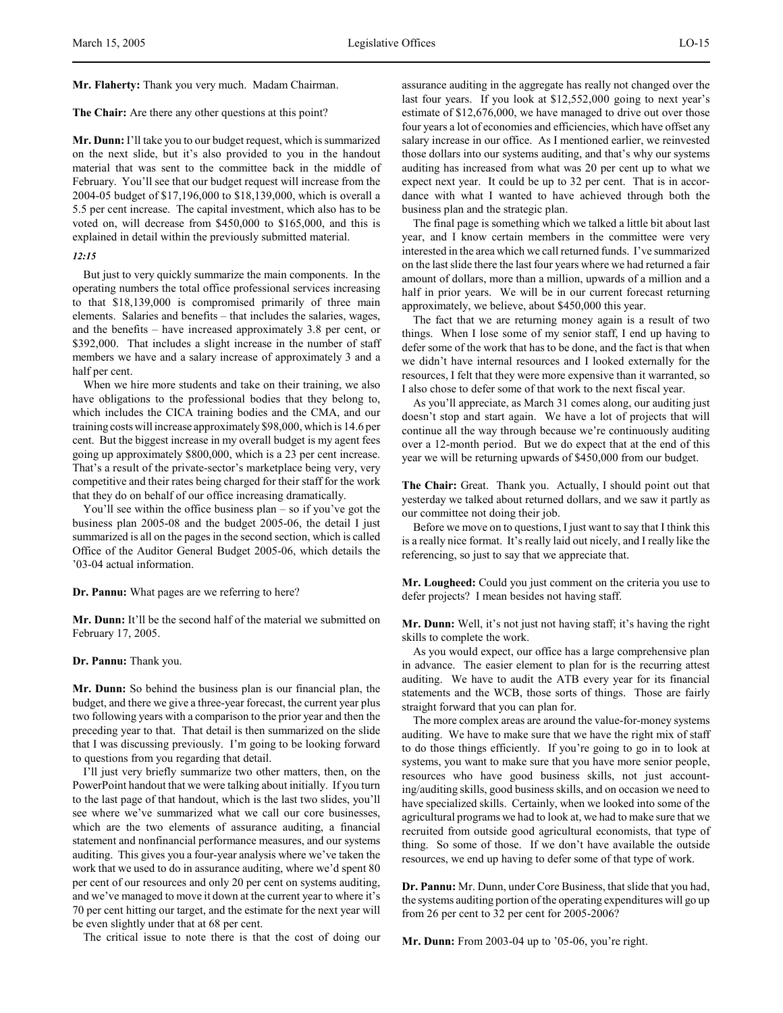# **Mr. Flaherty:** Thank you very much. Madam Chairman.

#### **The Chair:** Are there any other questions at this point?

**Mr. Dunn:** I'll take you to our budget request, which is summarized on the next slide, but it's also provided to you in the handout material that was sent to the committee back in the middle of February. You'll see that our budget request will increase from the 2004-05 budget of \$17,196,000 to \$18,139,000, which is overall a 5.5 per cent increase. The capital investment, which also has to be voted on, will decrease from \$450,000 to \$165,000, and this is explained in detail within the previously submitted material.

#### *12:15*

But just to very quickly summarize the main components. In the operating numbers the total office professional services increasing to that \$18,139,000 is compromised primarily of three main elements. Salaries and benefits – that includes the salaries, wages, and the benefits – have increased approximately 3.8 per cent, or \$392,000. That includes a slight increase in the number of staff members we have and a salary increase of approximately 3 and a half per cent.

When we hire more students and take on their training, we also have obligations to the professional bodies that they belong to, which includes the CICA training bodies and the CMA, and our training costs will increase approximately \$98,000, which is 14.6 per cent. But the biggest increase in my overall budget is my agent fees going up approximately \$800,000, which is a 23 per cent increase. That's a result of the private-sector's marketplace being very, very competitive and their rates being charged for their staff for the work that they do on behalf of our office increasing dramatically.

You'll see within the office business plan – so if you've got the business plan 2005-08 and the budget 2005-06, the detail I just summarized is all on the pages in the second section, which is called Office of the Auditor General Budget 2005-06, which details the '03-04 actual information.

#### **Dr. Pannu:** What pages are we referring to here?

**Mr. Dunn:** It'll be the second half of the material we submitted on February 17, 2005.

## **Dr. Pannu:** Thank you.

**Mr. Dunn:** So behind the business plan is our financial plan, the budget, and there we give a three-year forecast, the current year plus two following years with a comparison to the prior year and then the preceding year to that. That detail is then summarized on the slide that I was discussing previously. I'm going to be looking forward to questions from you regarding that detail.

I'll just very briefly summarize two other matters, then, on the PowerPoint handout that we were talking about initially. If you turn to the last page of that handout, which is the last two slides, you'll see where we've summarized what we call our core businesses, which are the two elements of assurance auditing, a financial statement and nonfinancial performance measures, and our systems auditing. This gives you a four-year analysis where we've taken the work that we used to do in assurance auditing, where we'd spent 80 per cent of our resources and only 20 per cent on systems auditing, and we've managed to move it down at the current year to where it's 70 per cent hitting our target, and the estimate for the next year will be even slightly under that at 68 per cent.

The critical issue to note there is that the cost of doing our

assurance auditing in the aggregate has really not changed over the last four years. If you look at \$12,552,000 going to next year's estimate of \$12,676,000, we have managed to drive out over those four years a lot of economies and efficiencies, which have offset any salary increase in our office. As I mentioned earlier, we reinvested those dollars into our systems auditing, and that's why our systems auditing has increased from what was 20 per cent up to what we expect next year. It could be up to 32 per cent. That is in accordance with what I wanted to have achieved through both the business plan and the strategic plan.

The final page is something which we talked a little bit about last year, and I know certain members in the committee were very interested in the area which we call returned funds. I've summarized on the last slide there the last four years where we had returned a fair amount of dollars, more than a million, upwards of a million and a half in prior years. We will be in our current forecast returning approximately, we believe, about \$450,000 this year.

The fact that we are returning money again is a result of two things. When I lose some of my senior staff, I end up having to defer some of the work that has to be done, and the fact is that when we didn't have internal resources and I looked externally for the resources, I felt that they were more expensive than it warranted, so I also chose to defer some of that work to the next fiscal year.

As you'll appreciate, as March 31 comes along, our auditing just doesn't stop and start again. We have a lot of projects that will continue all the way through because we're continuously auditing over a 12-month period. But we do expect that at the end of this year we will be returning upwards of \$450,000 from our budget.

**The Chair:** Great. Thank you. Actually, I should point out that yesterday we talked about returned dollars, and we saw it partly as our committee not doing their job.

Before we move on to questions, I just want to say that I think this is a really nice format. It's really laid out nicely, and I really like the referencing, so just to say that we appreciate that.

**Mr. Lougheed:** Could you just comment on the criteria you use to defer projects? I mean besides not having staff.

**Mr. Dunn:** Well, it's not just not having staff; it's having the right skills to complete the work.

As you would expect, our office has a large comprehensive plan in advance. The easier element to plan for is the recurring attest auditing. We have to audit the ATB every year for its financial statements and the WCB, those sorts of things. Those are fairly straight forward that you can plan for.

The more complex areas are around the value-for-money systems auditing. We have to make sure that we have the right mix of staff to do those things efficiently. If you're going to go in to look at systems, you want to make sure that you have more senior people, resources who have good business skills, not just accounting/auditing skills, good business skills, and on occasion we need to have specialized skills. Certainly, when we looked into some of the agricultural programs we had to look at, we had to make sure that we recruited from outside good agricultural economists, that type of thing. So some of those. If we don't have available the outside resources, we end up having to defer some of that type of work.

**Dr. Pannu:** Mr. Dunn, under Core Business, that slide that you had, the systems auditing portion of the operating expenditures will go up from 26 per cent to 32 per cent for 2005-2006?

**Mr. Dunn:** From 2003-04 up to '05-06, you're right.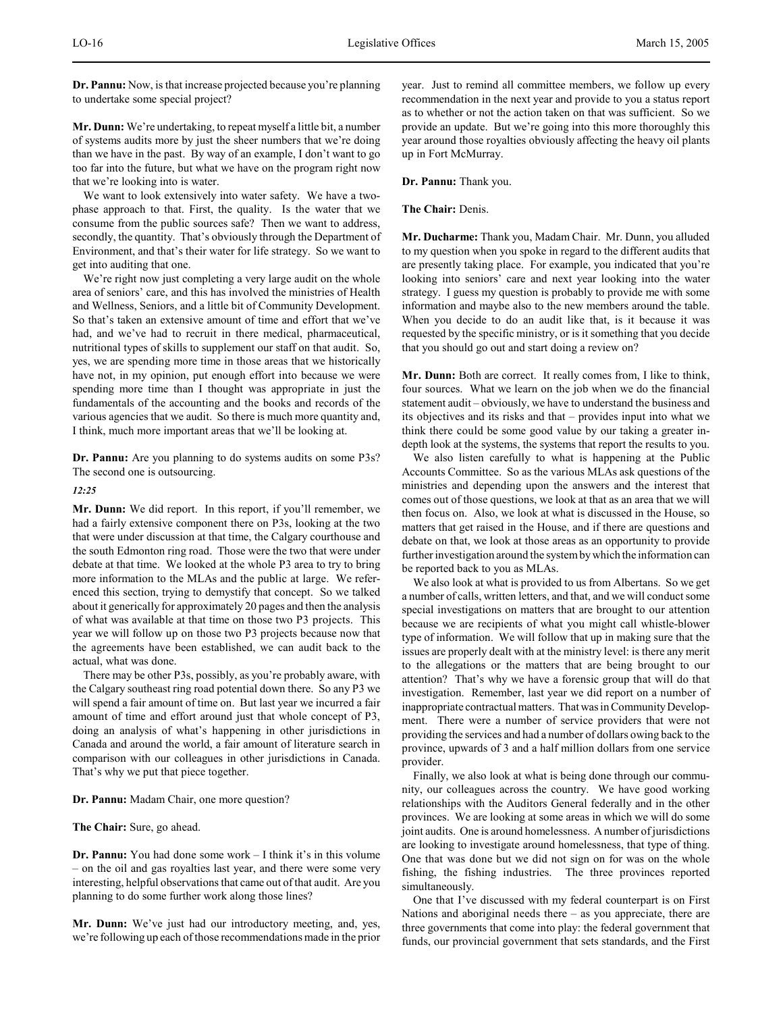**Dr. Pannu:** Now, is that increase projected because you're planning to undertake some special project?

**Mr. Dunn:** We're undertaking, to repeat myself a little bit, a number of systems audits more by just the sheer numbers that we're doing than we have in the past. By way of an example, I don't want to go too far into the future, but what we have on the program right now that we're looking into is water.

We want to look extensively into water safety. We have a twophase approach to that. First, the quality. Is the water that we consume from the public sources safe? Then we want to address, secondly, the quantity. That's obviously through the Department of Environment, and that's their water for life strategy. So we want to get into auditing that one.

We're right now just completing a very large audit on the whole area of seniors' care, and this has involved the ministries of Health and Wellness, Seniors, and a little bit of Community Development. So that's taken an extensive amount of time and effort that we've had, and we've had to recruit in there medical, pharmaceutical, nutritional types of skills to supplement our staff on that audit. So, yes, we are spending more time in those areas that we historically have not, in my opinion, put enough effort into because we were spending more time than I thought was appropriate in just the fundamentals of the accounting and the books and records of the various agencies that we audit. So there is much more quantity and, I think, much more important areas that we'll be looking at.

**Dr. Pannu:** Are you planning to do systems audits on some P3s? The second one is outsourcing.

### *12:25*

**Mr. Dunn:** We did report. In this report, if you'll remember, we had a fairly extensive component there on P3s, looking at the two that were under discussion at that time, the Calgary courthouse and the south Edmonton ring road. Those were the two that were under debate at that time. We looked at the whole P3 area to try to bring more information to the MLAs and the public at large. We referenced this section, trying to demystify that concept. So we talked about it generically for approximately 20 pages and then the analysis of what was available at that time on those two P3 projects. This year we will follow up on those two P3 projects because now that the agreements have been established, we can audit back to the actual, what was done.

There may be other P3s, possibly, as you're probably aware, with the Calgary southeast ring road potential down there. So any P3 we will spend a fair amount of time on. But last year we incurred a fair amount of time and effort around just that whole concept of P3, doing an analysis of what's happening in other jurisdictions in Canada and around the world, a fair amount of literature search in comparison with our colleagues in other jurisdictions in Canada. That's why we put that piece together.

#### **Dr. Pannu:** Madam Chair, one more question?

**The Chair:** Sure, go ahead.

**Dr. Pannu:** You had done some work – I think it's in this volume – on the oil and gas royalties last year, and there were some very interesting, helpful observations that came out of that audit. Are you planning to do some further work along those lines?

**Mr. Dunn:** We've just had our introductory meeting, and, yes, we're following up each of those recommendations made in the prior year. Just to remind all committee members, we follow up every recommendation in the next year and provide to you a status report as to whether or not the action taken on that was sufficient. So we provide an update. But we're going into this more thoroughly this year around those royalties obviously affecting the heavy oil plants up in Fort McMurray.

**Dr. Pannu:** Thank you.

## **The Chair:** Denis.

**Mr. Ducharme:** Thank you, Madam Chair. Mr. Dunn, you alluded to my question when you spoke in regard to the different audits that are presently taking place. For example, you indicated that you're looking into seniors' care and next year looking into the water strategy. I guess my question is probably to provide me with some information and maybe also to the new members around the table. When you decide to do an audit like that, is it because it was requested by the specific ministry, or is it something that you decide that you should go out and start doing a review on?

**Mr. Dunn:** Both are correct. It really comes from, I like to think, four sources. What we learn on the job when we do the financial statement audit – obviously, we have to understand the business and its objectives and its risks and that – provides input into what we think there could be some good value by our taking a greater indepth look at the systems, the systems that report the results to you.

We also listen carefully to what is happening at the Public Accounts Committee. So as the various MLAs ask questions of the ministries and depending upon the answers and the interest that comes out of those questions, we look at that as an area that we will then focus on. Also, we look at what is discussed in the House, so matters that get raised in the House, and if there are questions and debate on that, we look at those areas as an opportunity to provide further investigation around the system by which the information can be reported back to you as MLAs.

We also look at what is provided to us from Albertans. So we get a number of calls, written letters, and that, and we will conduct some special investigations on matters that are brought to our attention because we are recipients of what you might call whistle-blower type of information. We will follow that up in making sure that the issues are properly dealt with at the ministry level: is there any merit to the allegations or the matters that are being brought to our attention? That's why we have a forensic group that will do that investigation. Remember, last year we did report on a number of inappropriate contractual matters. That was in Community Development. There were a number of service providers that were not providing the services and had a number of dollars owing back to the province, upwards of 3 and a half million dollars from one service provider.

Finally, we also look at what is being done through our community, our colleagues across the country. We have good working relationships with the Auditors General federally and in the other provinces. We are looking at some areas in which we will do some joint audits. One is around homelessness. A number of jurisdictions are looking to investigate around homelessness, that type of thing. One that was done but we did not sign on for was on the whole fishing, the fishing industries. The three provinces reported simultaneously.

One that I've discussed with my federal counterpart is on First Nations and aboriginal needs there – as you appreciate, there are three governments that come into play: the federal government that funds, our provincial government that sets standards, and the First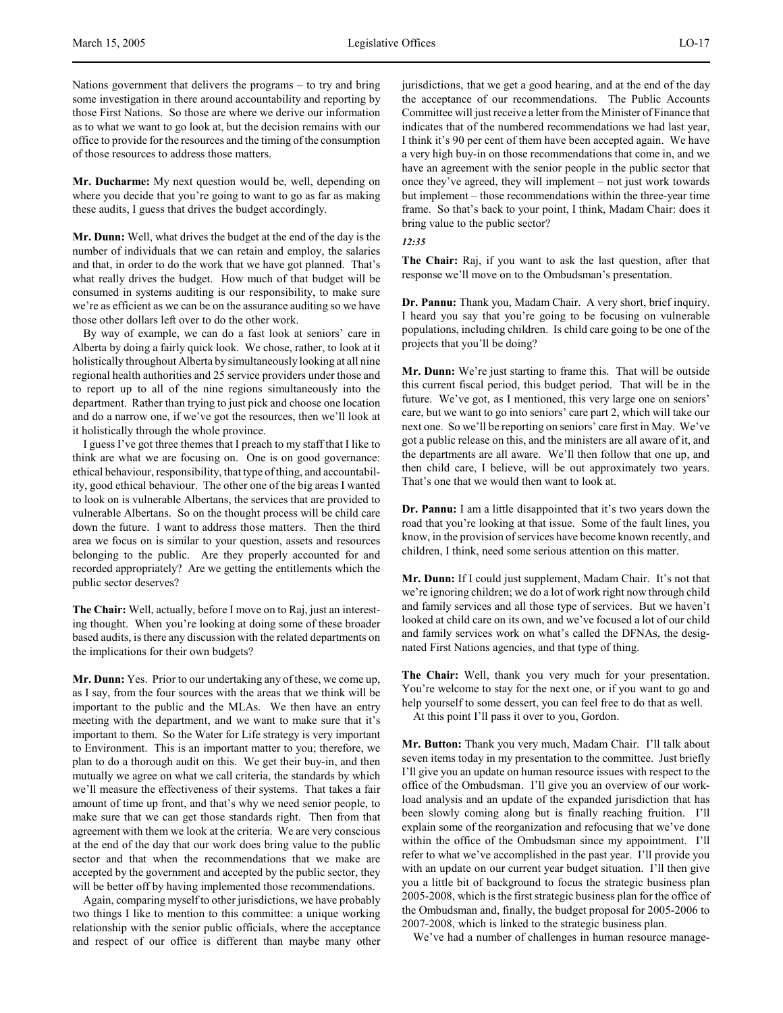Nations government that delivers the programs – to try and bring some investigation in there around accountability and reporting by those First Nations. So those are where we derive our information as to what we want to go look at, but the decision remains with our office to provide for the resources and the timing of the consumption of those resources to address those matters.

**Mr. Ducharme:** My next question would be, well, depending on where you decide that you're going to want to go as far as making these audits, I guess that drives the budget accordingly.

**Mr. Dunn:** Well, what drives the budget at the end of the day is the number of individuals that we can retain and employ, the salaries and that, in order to do the work that we have got planned. That's what really drives the budget. How much of that budget will be consumed in systems auditing is our responsibility, to make sure we're as efficient as we can be on the assurance auditing so we have those other dollars left over to do the other work.

By way of example, we can do a fast look at seniors' care in Alberta by doing a fairly quick look. We chose, rather, to look at it holistically throughout Alberta by simultaneously looking at all nine regional health authorities and 25 service providers under those and to report up to all of the nine regions simultaneously into the department. Rather than trying to just pick and choose one location and do a narrow one, if we've got the resources, then we'll look at it holistically through the whole province.

I guess I've got three themes that I preach to my staff that I like to think are what we are focusing on. One is on good governance: ethical behaviour, responsibility, that type of thing, and accountability, good ethical behaviour. The other one of the big areas I wanted to look on is vulnerable Albertans, the services that are provided to vulnerable Albertans. So on the thought process will be child care down the future. I want to address those matters. Then the third area we focus on is similar to your question, assets and resources belonging to the public. Are they properly accounted for and recorded appropriately? Are we getting the entitlements which the public sector deserves?

**The Chair:** Well, actually, before I move on to Raj, just an interesting thought. When you're looking at doing some of these broader based audits, is there any discussion with the related departments on the implications for their own budgets?

**Mr. Dunn:** Yes. Prior to our undertaking any of these, we come up, as I say, from the four sources with the areas that we think will be important to the public and the MLAs. We then have an entry meeting with the department, and we want to make sure that it's important to them. So the Water for Life strategy is very important to Environment. This is an important matter to you; therefore, we plan to do a thorough audit on this. We get their buy-in, and then mutually we agree on what we call criteria, the standards by which we'll measure the effectiveness of their systems. That takes a fair amount of time up front, and that's why we need senior people, to make sure that we can get those standards right. Then from that agreement with them we look at the criteria. We are very conscious at the end of the day that our work does bring value to the public sector and that when the recommendations that we make are accepted by the government and accepted by the public sector, they will be better off by having implemented those recommendations.

Again, comparing myself to other jurisdictions, we have probably two things I like to mention to this committee: a unique working relationship with the senior public officials, where the acceptance and respect of our office is different than maybe many other

jurisdictions, that we get a good hearing, and at the end of the day the acceptance of our recommendations. The Public Accounts Committee will just receive a letter from the Minister of Finance that indicates that of the numbered recommendations we had last year, I think it's 90 per cent of them have been accepted again. We have a very high buy-in on those recommendations that come in, and we have an agreement with the senior people in the public sector that once they've agreed, they will implement – not just work towards but implement – those recommendations within the three-year time frame. So that's back to your point, I think, Madam Chair: does it bring value to the public sector?

*12:35*

**The Chair:** Raj, if you want to ask the last question, after that response we'll move on to the Ombudsman's presentation.

**Dr. Pannu:** Thank you, Madam Chair. A very short, brief inquiry. I heard you say that you're going to be focusing on vulnerable populations, including children. Is child care going to be one of the projects that you'll be doing?

**Mr. Dunn:** We're just starting to frame this. That will be outside this current fiscal period, this budget period. That will be in the future. We've got, as I mentioned, this very large one on seniors' care, but we want to go into seniors' care part 2, which will take our next one. So we'll be reporting on seniors' care first in May. We've got a public release on this, and the ministers are all aware of it, and the departments are all aware. We'll then follow that one up, and then child care, I believe, will be out approximately two years. That's one that we would then want to look at.

**Dr. Pannu:** I am a little disappointed that it's two years down the road that you're looking at that issue. Some of the fault lines, you know, in the provision of services have become known recently, and children, I think, need some serious attention on this matter.

**Mr. Dunn:** If I could just supplement, Madam Chair. It's not that we're ignoring children; we do a lot of work right now through child and family services and all those type of services. But we haven't looked at child care on its own, and we've focused a lot of our child and family services work on what's called the DFNAs, the designated First Nations agencies, and that type of thing.

**The Chair:** Well, thank you very much for your presentation. You're welcome to stay for the next one, or if you want to go and help yourself to some dessert, you can feel free to do that as well.

At this point I'll pass it over to you, Gordon.

**Mr. Button:** Thank you very much, Madam Chair. I'll talk about seven items today in my presentation to the committee. Just briefly I'll give you an update on human resource issues with respect to the office of the Ombudsman. I'll give you an overview of our workload analysis and an update of the expanded jurisdiction that has been slowly coming along but is finally reaching fruition. I'll explain some of the reorganization and refocusing that we've done within the office of the Ombudsman since my appointment. I'll refer to what we've accomplished in the past year. I'll provide you with an update on our current year budget situation. I'll then give you a little bit of background to focus the strategic business plan 2005-2008, which is the first strategic business plan for the office of the Ombudsman and, finally, the budget proposal for 2005-2006 to 2007-2008, which is linked to the strategic business plan.

We've had a number of challenges in human resource manage-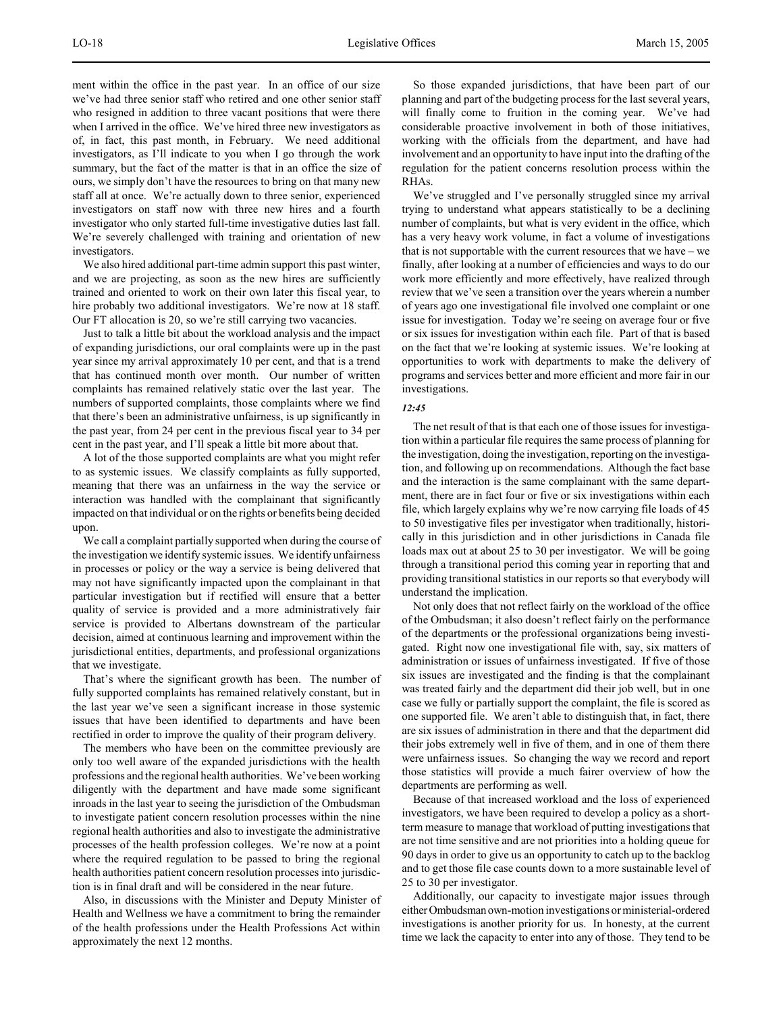ment within the office in the past year. In an office of our size we've had three senior staff who retired and one other senior staff who resigned in addition to three vacant positions that were there when I arrived in the office. We've hired three new investigators as of, in fact, this past month, in February. We need additional investigators, as I'll indicate to you when I go through the work summary, but the fact of the matter is that in an office the size of ours, we simply don't have the resources to bring on that many new staff all at once. We're actually down to three senior, experienced investigators on staff now with three new hires and a fourth investigator who only started full-time investigative duties last fall. We're severely challenged with training and orientation of new investigators.

We also hired additional part-time admin support this past winter, and we are projecting, as soon as the new hires are sufficiently trained and oriented to work on their own later this fiscal year, to hire probably two additional investigators. We're now at 18 staff. Our FT allocation is 20, so we're still carrying two vacancies.

Just to talk a little bit about the workload analysis and the impact of expanding jurisdictions, our oral complaints were up in the past year since my arrival approximately 10 per cent, and that is a trend that has continued month over month. Our number of written complaints has remained relatively static over the last year. The numbers of supported complaints, those complaints where we find that there's been an administrative unfairness, is up significantly in the past year, from 24 per cent in the previous fiscal year to 34 per cent in the past year, and I'll speak a little bit more about that.

A lot of the those supported complaints are what you might refer to as systemic issues. We classify complaints as fully supported, meaning that there was an unfairness in the way the service or interaction was handled with the complainant that significantly impacted on that individual or on the rights or benefits being decided upon.

We call a complaint partially supported when during the course of the investigation we identify systemic issues. We identify unfairness in processes or policy or the way a service is being delivered that may not have significantly impacted upon the complainant in that particular investigation but if rectified will ensure that a better quality of service is provided and a more administratively fair service is provided to Albertans downstream of the particular decision, aimed at continuous learning and improvement within the jurisdictional entities, departments, and professional organizations that we investigate.

That's where the significant growth has been. The number of fully supported complaints has remained relatively constant, but in the last year we've seen a significant increase in those systemic issues that have been identified to departments and have been rectified in order to improve the quality of their program delivery.

The members who have been on the committee previously are only too well aware of the expanded jurisdictions with the health professions and the regional health authorities. We've been working diligently with the department and have made some significant inroads in the last year to seeing the jurisdiction of the Ombudsman to investigate patient concern resolution processes within the nine regional health authorities and also to investigate the administrative processes of the health profession colleges. We're now at a point where the required regulation to be passed to bring the regional health authorities patient concern resolution processes into jurisdiction is in final draft and will be considered in the near future.

Also, in discussions with the Minister and Deputy Minister of Health and Wellness we have a commitment to bring the remainder of the health professions under the Health Professions Act within approximately the next 12 months.

So those expanded jurisdictions, that have been part of our planning and part of the budgeting process for the last several years, will finally come to fruition in the coming year. We've had considerable proactive involvement in both of those initiatives, working with the officials from the department, and have had involvement and an opportunity to have input into the drafting of the regulation for the patient concerns resolution process within the RHAs.

We've struggled and I've personally struggled since my arrival trying to understand what appears statistically to be a declining number of complaints, but what is very evident in the office, which has a very heavy work volume, in fact a volume of investigations that is not supportable with the current resources that we have – we finally, after looking at a number of efficiencies and ways to do our work more efficiently and more effectively, have realized through review that we've seen a transition over the years wherein a number of years ago one investigational file involved one complaint or one issue for investigation. Today we're seeing on average four or five or six issues for investigation within each file. Part of that is based on the fact that we're looking at systemic issues. We're looking at opportunities to work with departments to make the delivery of programs and services better and more efficient and more fair in our investigations.

## *12:45*

The net result of that is that each one of those issues for investigation within a particular file requires the same process of planning for the investigation, doing the investigation, reporting on the investigation, and following up on recommendations. Although the fact base and the interaction is the same complainant with the same department, there are in fact four or five or six investigations within each file, which largely explains why we're now carrying file loads of 45 to 50 investigative files per investigator when traditionally, historically in this jurisdiction and in other jurisdictions in Canada file loads max out at about 25 to 30 per investigator. We will be going through a transitional period this coming year in reporting that and providing transitional statistics in our reports so that everybody will understand the implication.

Not only does that not reflect fairly on the workload of the office of the Ombudsman; it also doesn't reflect fairly on the performance of the departments or the professional organizations being investigated. Right now one investigational file with, say, six matters of administration or issues of unfairness investigated. If five of those six issues are investigated and the finding is that the complainant was treated fairly and the department did their job well, but in one case we fully or partially support the complaint, the file is scored as one supported file. We aren't able to distinguish that, in fact, there are six issues of administration in there and that the department did their jobs extremely well in five of them, and in one of them there were unfairness issues. So changing the way we record and report those statistics will provide a much fairer overview of how the departments are performing as well.

Because of that increased workload and the loss of experienced investigators, we have been required to develop a policy as a shortterm measure to manage that workload of putting investigations that are not time sensitive and are not priorities into a holding queue for 90 days in order to give us an opportunity to catch up to the backlog and to get those file case counts down to a more sustainable level of 25 to 30 per investigator.

Additionally, our capacity to investigate major issues through either Ombudsman own-motion investigations or ministerial-ordered investigations is another priority for us. In honesty, at the current time we lack the capacity to enter into any of those. They tend to be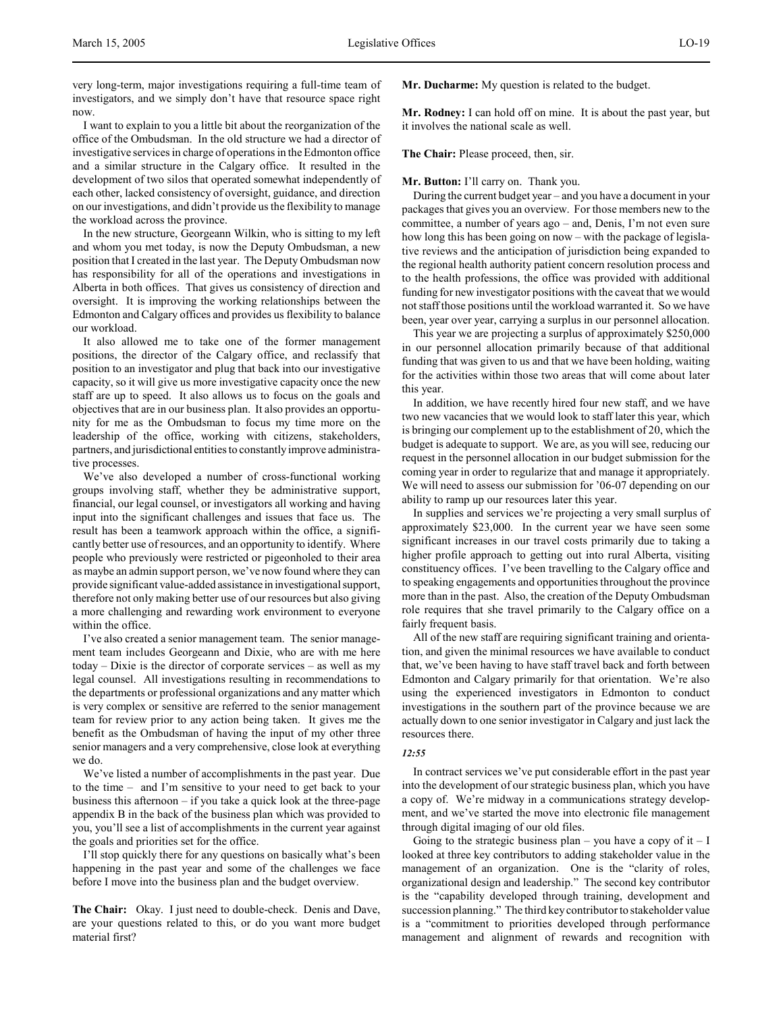very long-term, major investigations requiring a full-time team of investigators, and we simply don't have that resource space right now.

I want to explain to you a little bit about the reorganization of the office of the Ombudsman. In the old structure we had a director of investigative services in charge of operations in the Edmonton office and a similar structure in the Calgary office. It resulted in the development of two silos that operated somewhat independently of each other, lacked consistency of oversight, guidance, and direction on our investigations, and didn't provide us the flexibility to manage the workload across the province.

In the new structure, Georgeann Wilkin, who is sitting to my left and whom you met today, is now the Deputy Ombudsman, a new position that I created in the last year. The Deputy Ombudsman now has responsibility for all of the operations and investigations in Alberta in both offices. That gives us consistency of direction and oversight. It is improving the working relationships between the Edmonton and Calgary offices and provides us flexibility to balance our workload.

It also allowed me to take one of the former management positions, the director of the Calgary office, and reclassify that position to an investigator and plug that back into our investigative capacity, so it will give us more investigative capacity once the new staff are up to speed. It also allows us to focus on the goals and objectives that are in our business plan. It also provides an opportunity for me as the Ombudsman to focus my time more on the leadership of the office, working with citizens, stakeholders, partners, and jurisdictional entities to constantly improve administrative processes.

We've also developed a number of cross-functional working groups involving staff, whether they be administrative support, financial, our legal counsel, or investigators all working and having input into the significant challenges and issues that face us. The result has been a teamwork approach within the office, a significantly better use of resources, and an opportunity to identify. Where people who previously were restricted or pigeonholed to their area as maybe an admin support person, we've now found where they can provide significant value-added assistance in investigational support, therefore not only making better use of our resources but also giving a more challenging and rewarding work environment to everyone within the office.

I've also created a senior management team. The senior management team includes Georgeann and Dixie, who are with me here today – Dixie is the director of corporate services – as well as my legal counsel. All investigations resulting in recommendations to the departments or professional organizations and any matter which is very complex or sensitive are referred to the senior management team for review prior to any action being taken. It gives me the benefit as the Ombudsman of having the input of my other three senior managers and a very comprehensive, close look at everything we do.

We've listed a number of accomplishments in the past year. Due to the time – and I'm sensitive to your need to get back to your business this afternoon – if you take a quick look at the three-page appendix B in the back of the business plan which was provided to you, you'll see a list of accomplishments in the current year against the goals and priorities set for the office.

I'll stop quickly there for any questions on basically what's been happening in the past year and some of the challenges we face before I move into the business plan and the budget overview.

**The Chair:** Okay. I just need to double-check. Denis and Dave, are your questions related to this, or do you want more budget material first?

**Mr. Ducharme:** My question is related to the budget.

**Mr. Rodney:** I can hold off on mine. It is about the past year, but it involves the national scale as well.

**The Chair:** Please proceed, then, sir.

**Mr. Button:** I'll carry on. Thank you.

During the current budget year – and you have a document in your packages that gives you an overview. For those members new to the committee, a number of years ago – and, Denis, I'm not even sure how long this has been going on now – with the package of legislative reviews and the anticipation of jurisdiction being expanded to the regional health authority patient concern resolution process and to the health professions, the office was provided with additional funding for new investigator positions with the caveat that we would not staff those positions until the workload warranted it. So we have been, year over year, carrying a surplus in our personnel allocation.

This year we are projecting a surplus of approximately \$250,000 in our personnel allocation primarily because of that additional funding that was given to us and that we have been holding, waiting for the activities within those two areas that will come about later this year.

In addition, we have recently hired four new staff, and we have two new vacancies that we would look to staff later this year, which is bringing our complement up to the establishment of 20, which the budget is adequate to support. We are, as you will see, reducing our request in the personnel allocation in our budget submission for the coming year in order to regularize that and manage it appropriately. We will need to assess our submission for '06-07 depending on our ability to ramp up our resources later this year.

In supplies and services we're projecting a very small surplus of approximately \$23,000. In the current year we have seen some significant increases in our travel costs primarily due to taking a higher profile approach to getting out into rural Alberta, visiting constituency offices. I've been travelling to the Calgary office and to speaking engagements and opportunities throughout the province more than in the past. Also, the creation of the Deputy Ombudsman role requires that she travel primarily to the Calgary office on a fairly frequent basis.

All of the new staff are requiring significant training and orientation, and given the minimal resources we have available to conduct that, we've been having to have staff travel back and forth between Edmonton and Calgary primarily for that orientation. We're also using the experienced investigators in Edmonton to conduct investigations in the southern part of the province because we are actually down to one senior investigator in Calgary and just lack the resources there.

#### *12:55*

In contract services we've put considerable effort in the past year into the development of our strategic business plan, which you have a copy of. We're midway in a communications strategy development, and we've started the move into electronic file management through digital imaging of our old files.

Going to the strategic business plan – you have a copy of it – I looked at three key contributors to adding stakeholder value in the management of an organization. One is the "clarity of roles, organizational design and leadership." The second key contributor is the "capability developed through training, development and succession planning." The third key contributor to stakeholder value is a "commitment to priorities developed through performance management and alignment of rewards and recognition with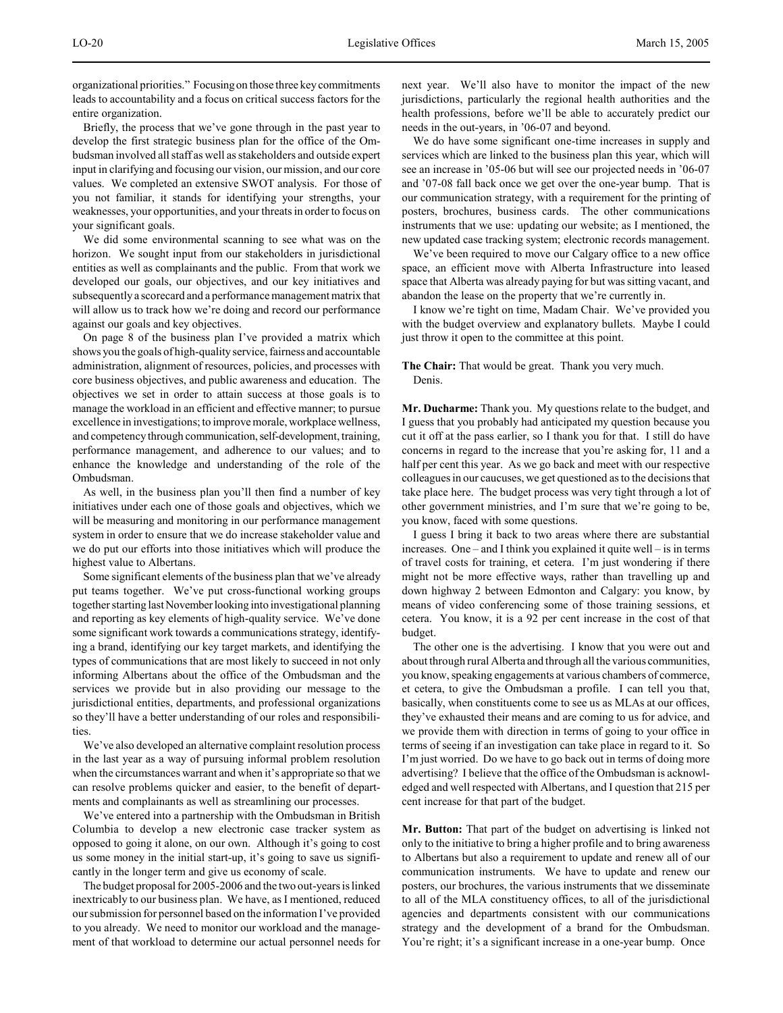organizational priorities." Focusing on those three key commitments leads to accountability and a focus on critical success factors for the entire organization.

Briefly, the process that we've gone through in the past year to develop the first strategic business plan for the office of the Ombudsman involved all staff as well as stakeholders and outside expert input in clarifying and focusing our vision, our mission, and our core values. We completed an extensive SWOT analysis. For those of you not familiar, it stands for identifying your strengths, your weaknesses, your opportunities, and your threats in order to focus on your significant goals.

We did some environmental scanning to see what was on the horizon. We sought input from our stakeholders in jurisdictional entities as well as complainants and the public. From that work we developed our goals, our objectives, and our key initiatives and subsequently a scorecard and a performance management matrix that will allow us to track how we're doing and record our performance against our goals and key objectives.

On page 8 of the business plan I've provided a matrix which shows you the goals of high-quality service, fairness and accountable administration, alignment of resources, policies, and processes with core business objectives, and public awareness and education. The objectives we set in order to attain success at those goals is to manage the workload in an efficient and effective manner; to pursue excellence in investigations; to improve morale, workplace wellness, and competency through communication, self-development, training, performance management, and adherence to our values; and to enhance the knowledge and understanding of the role of the Ombudsman.

As well, in the business plan you'll then find a number of key initiatives under each one of those goals and objectives, which we will be measuring and monitoring in our performance management system in order to ensure that we do increase stakeholder value and we do put our efforts into those initiatives which will produce the highest value to Albertans.

Some significant elements of the business plan that we've already put teams together. We've put cross-functional working groups together starting last November looking into investigational planning and reporting as key elements of high-quality service. We've done some significant work towards a communications strategy, identifying a brand, identifying our key target markets, and identifying the types of communications that are most likely to succeed in not only informing Albertans about the office of the Ombudsman and the services we provide but in also providing our message to the jurisdictional entities, departments, and professional organizations so they'll have a better understanding of our roles and responsibilities.

We've also developed an alternative complaint resolution process in the last year as a way of pursuing informal problem resolution when the circumstances warrant and when it's appropriate so that we can resolve problems quicker and easier, to the benefit of departments and complainants as well as streamlining our processes.

We've entered into a partnership with the Ombudsman in British Columbia to develop a new electronic case tracker system as opposed to going it alone, on our own. Although it's going to cost us some money in the initial start-up, it's going to save us significantly in the longer term and give us economy of scale.

The budget proposal for 2005-2006 and the two out-years is linked inextricably to our business plan. We have, as I mentioned, reduced our submission for personnel based on the information I've provided to you already. We need to monitor our workload and the management of that workload to determine our actual personnel needs for next year. We'll also have to monitor the impact of the new jurisdictions, particularly the regional health authorities and the health professions, before we'll be able to accurately predict our needs in the out-years, in '06-07 and beyond.

We do have some significant one-time increases in supply and services which are linked to the business plan this year, which will see an increase in '05-06 but will see our projected needs in '06-07 and '07-08 fall back once we get over the one-year bump. That is our communication strategy, with a requirement for the printing of posters, brochures, business cards. The other communications instruments that we use: updating our website; as I mentioned, the new updated case tracking system; electronic records management.

We've been required to move our Calgary office to a new office space, an efficient move with Alberta Infrastructure into leased space that Alberta was already paying for but was sitting vacant, and abandon the lease on the property that we're currently in.

I know we're tight on time, Madam Chair. We've provided you with the budget overview and explanatory bullets. Maybe I could just throw it open to the committee at this point.

# **The Chair:** That would be great. Thank you very much. Denis.

**Mr. Ducharme:** Thank you. My questions relate to the budget, and I guess that you probably had anticipated my question because you cut it off at the pass earlier, so I thank you for that. I still do have concerns in regard to the increase that you're asking for, 11 and a half per cent this year. As we go back and meet with our respective colleagues in our caucuses, we get questioned as to the decisions that take place here. The budget process was very tight through a lot of other government ministries, and I'm sure that we're going to be, you know, faced with some questions.

I guess I bring it back to two areas where there are substantial increases. One – and I think you explained it quite well – is in terms of travel costs for training, et cetera. I'm just wondering if there might not be more effective ways, rather than travelling up and down highway 2 between Edmonton and Calgary: you know, by means of video conferencing some of those training sessions, et cetera. You know, it is a 92 per cent increase in the cost of that budget.

The other one is the advertising. I know that you were out and about through rural Alberta and through all the various communities, you know, speaking engagements at various chambers of commerce, et cetera, to give the Ombudsman a profile. I can tell you that, basically, when constituents come to see us as MLAs at our offices, they've exhausted their means and are coming to us for advice, and we provide them with direction in terms of going to your office in terms of seeing if an investigation can take place in regard to it. So I'm just worried. Do we have to go back out in terms of doing more advertising? I believe that the office of the Ombudsman is acknowledged and well respected with Albertans, and I question that 215 per cent increase for that part of the budget.

**Mr. Button:** That part of the budget on advertising is linked not only to the initiative to bring a higher profile and to bring awareness to Albertans but also a requirement to update and renew all of our communication instruments. We have to update and renew our posters, our brochures, the various instruments that we disseminate to all of the MLA constituency offices, to all of the jurisdictional agencies and departments consistent with our communications strategy and the development of a brand for the Ombudsman. You're right; it's a significant increase in a one-year bump. Once